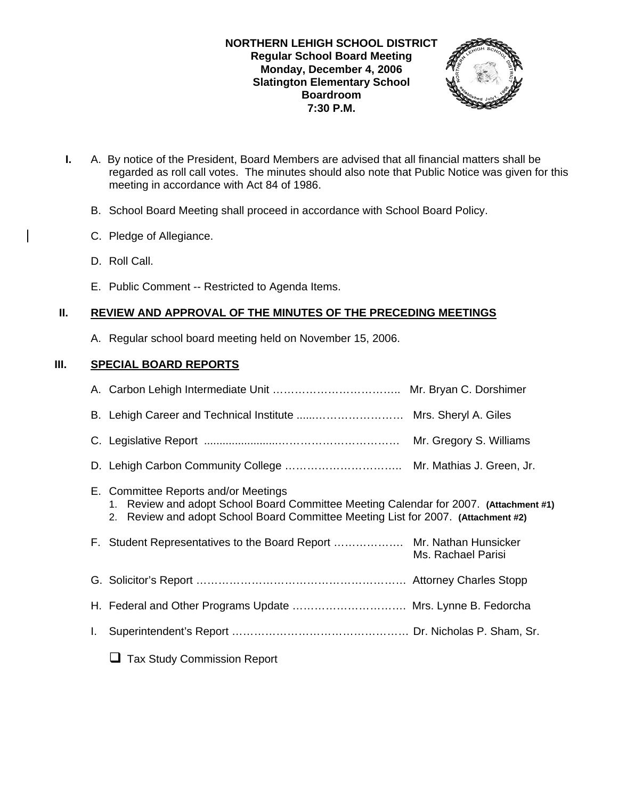## **NORTHERN LEHIGH SCHOOL DISTRICT Regular School Board Meeting Monday, December 4, 2006 Slatington Elementary School Boardroom 7:30 P.M.**



- **I.** A. By notice of the President, Board Members are advised that all financial matters shall be regarded as roll call votes. The minutes should also note that Public Notice was given for this meeting in accordance with Act 84 of 1986.
	- B. School Board Meeting shall proceed in accordance with School Board Policy.
	- C. Pledge of Allegiance.
	- D. Roll Call.
	- E. Public Comment -- Restricted to Agenda Items.

# **II. REVIEW AND APPROVAL OF THE MINUTES OF THE PRECEDING MEETINGS**

A. Regular school board meeting held on November 15, 2006.

# **III. SPECIAL BOARD REPORTS**

|    | B. Lehigh Career and Technical Institute  Mrs. Sheryl A. Giles                                                                                                                                                  |                    |
|----|-----------------------------------------------------------------------------------------------------------------------------------------------------------------------------------------------------------------|--------------------|
|    |                                                                                                                                                                                                                 |                    |
|    |                                                                                                                                                                                                                 |                    |
|    | E. Committee Reports and/or Meetings<br>Review and adopt School Board Committee Meeting Calendar for 2007. (Attachment #1)<br>2. Review and adopt School Board Committee Meeting List for 2007. (Attachment #2) |                    |
|    | F. Student Representatives to the Board Report  Mr. Nathan Hunsicker                                                                                                                                            | Ms. Rachael Parisi |
|    |                                                                                                                                                                                                                 |                    |
|    | H. Federal and Other Programs Update  Mrs. Lynne B. Fedorcha                                                                                                                                                    |                    |
| I. |                                                                                                                                                                                                                 |                    |
|    | <b>Tax Study Commission Report</b>                                                                                                                                                                              |                    |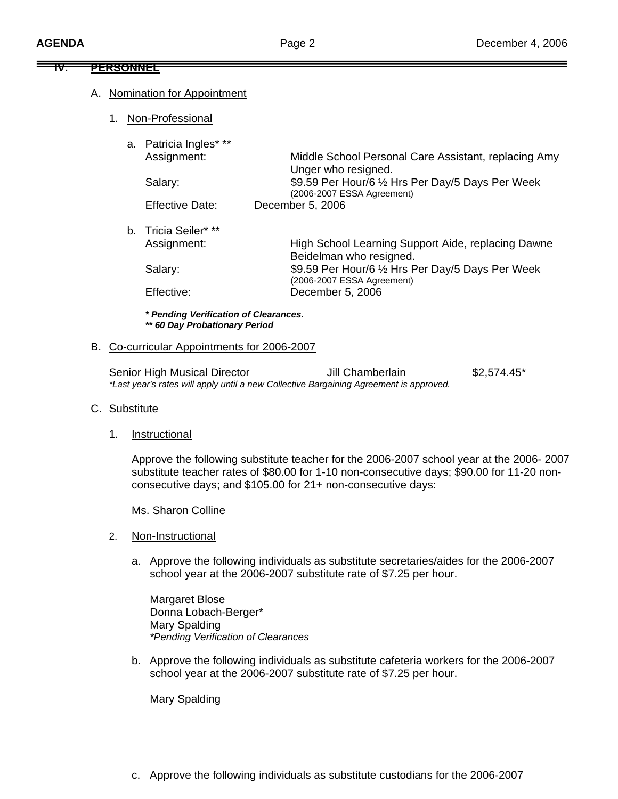# **IV. PERSONNEL**

#### A. Nomination for Appointment

1. Non-Professional

|  | a. Patricia Ingles* **<br>Assignment: | Middle School Personal Care Assistant, replacing Amy<br>Unger who resigned.     |  |
|--|---------------------------------------|---------------------------------------------------------------------------------|--|
|  | Salary:                               | \$9.59 Per Hour/6 1/2 Hrs Per Day/5 Days Per Week<br>(2006-2007 ESSA Agreement) |  |
|  | <b>Effective Date:</b>                | December 5, 2006                                                                |  |
|  | b. Tricia Seiler* **                  |                                                                                 |  |
|  | Assignment:                           | High School Learning Support Aide, replacing Dawne<br>Beidelman who resigned.   |  |
|  | Salary:                               | \$9.59 Per Hour/6 1/2 Hrs Per Day/5 Days Per Week<br>(2006-2007 ESSA Agreement) |  |
|  | Effective:                            | December 5, 2006                                                                |  |
|  | * Pending Verification of Clearances. |                                                                                 |  |

# *\*\* 60 Day Probationary Period*  B. Co-curricular Appointments for 2006-2007

Senior High Musical Director **Jill Chamberlain** \$2,574.45\* *\*Last year's rates will apply until a new Collective Bargaining Agreement is approved.*

#### C. Substitute

1. Instructional

 Approve the following substitute teacher for the 2006-2007 school year at the 2006- 2007 substitute teacher rates of \$80.00 for 1-10 non-consecutive days; \$90.00 for 11-20 non consecutive days; and \$105.00 for 21+ non-consecutive days:

Ms. Sharon Colline

- 2. Non-Instructional
	- a. Approve the following individuals as substitute secretaries/aides for the 2006-2007 school year at the 2006-2007 substitute rate of \$7.25 per hour.

 Margaret Blose Donna Lobach-Berger\* Mary Spalding *\*Pending Verification of Clearances* 

b. Approve the following individuals as substitute cafeteria workers for the 2006-2007 school year at the 2006-2007 substitute rate of \$7.25 per hour.

Mary Spalding

c. Approve the following individuals as substitute custodians for the 2006-2007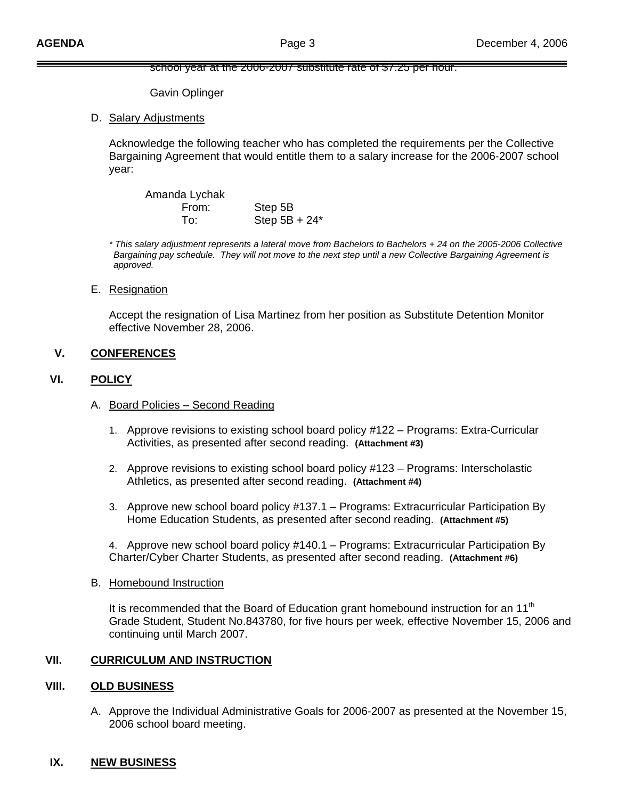#### school year at the 2006-2007 substitute rate of \$7.25 per hour.

Gavin Oplinger

D. Salary Adjustments

 Acknowledge the following teacher who has completed the requirements per the Collective Bargaining Agreement that would entitle them to a salary increase for the 2006-2007 school year:

Amanda Lychak From: Step 5B To: Step 5B + 24\*

*\* This salary adjustment represents a lateral move from Bachelors to Bachelors + 24 on the 2005-2006 Collective Bargaining pay schedule. They will not move to the next step until a new Collective Bargaining Agreement is approved.* 

E. Resignation

 Accept the resignation of Lisa Martinez from her position as Substitute Detention Monitor effective November 28, 2006.

#### **V. CONFERENCES**

#### **VI. POLICY**

- A. Board Policies Second Reading
	- 1. Approve revisions to existing school board policy #122 Programs: Extra-Curricular Activities, as presented after second reading. **(Attachment #3)**
	- 2. Approve revisions to existing school board policy #123 Programs: Interscholastic Athletics, as presented after second reading. **(Attachment #4)**
	- 3. Approve new school board policy #137.1 Programs: Extracurricular Participation By Home Education Students, as presented after second reading. **(Attachment #5)**

4. Approve new school board policy #140.1 – Programs: Extracurricular Participation By Charter/Cyber Charter Students, as presented after second reading. **(Attachment #6)**

#### B. Homebound Instruction

It is recommended that the Board of Education grant homebound instruction for an  $11<sup>th</sup>$ Grade Student, Student No.843780, for five hours per week, effective November 15, 2006 and continuing until March 2007.

### **VII. CURRICULUM AND INSTRUCTION**

#### **VIII. OLD BUSINESS**

A. Approve the Individual Administrative Goals for 2006-2007 as presented at the November 15, 2006 school board meeting.

#### **IX. NEW BUSINESS**